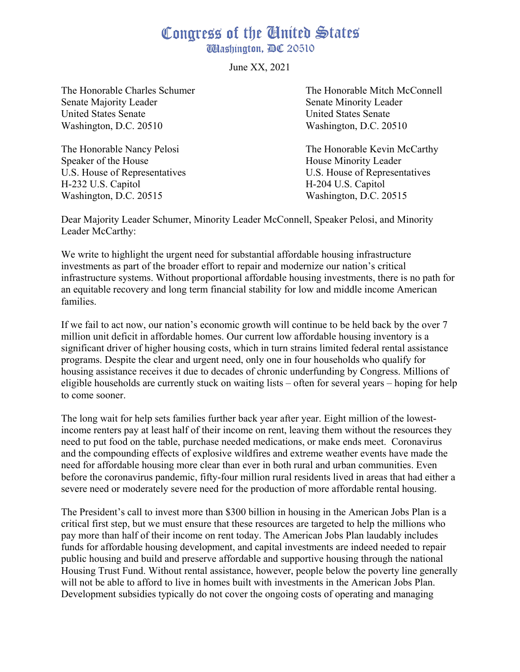## Congress of the United States

**Washington, DC 20510** 

June XX, 2021

Senate Majority Leader Senate Minority Leader United States Senate United States Senate Washington, D.C. 20510 Washington, D.C. 20510

Speaker of the House **House** House Minority Leader H-232 U.S. Capitol H-204 U.S. Capitol Washington, D.C. 20515 Washington, D.C. 20515

The Honorable Charles Schumer The Honorable Mitch McConnell

The Honorable Nancy Pelosi The Honorable Kevin McCarthy U.S. House of Representatives U.S. House of Representatives

Dear Majority Leader Schumer, Minority Leader McConnell, Speaker Pelosi, and Minority Leader McCarthy:

We write to highlight the urgent need for substantial affordable housing infrastructure investments as part of the broader effort to repair and modernize our nation's critical infrastructure systems. Without proportional affordable housing investments, there is no path for an equitable recovery and long term financial stability for low and middle income American families.

If we fail to act now, our nation's economic growth will continue to be held back by the over 7 million unit deficit in affordable homes. Our current low affordable housing inventory is a significant driver of higher housing costs, which in turn strains limited federal rental assistance programs. Despite the clear and urgent need, only one in four households who qualify for housing assistance receives it due to decades of chronic underfunding by Congress. Millions of eligible households are currently stuck on waiting lists – often for several years – hoping for help to come sooner.

The long wait for help sets families further back year after year. Eight million of the lowestincome renters pay at least half of their income on rent, leaving them without the resources they need to put food on the table, purchase needed medications, or make ends meet. Coronavirus and the compounding effects of explosive wildfires and extreme weather events have made the need for affordable housing more clear than ever in both rural and urban communities. Even before the coronavirus pandemic, fifty-four million rural residents lived in areas that had either a severe need or moderately severe need for the production of more affordable rental housing.

The President's call to invest more than \$300 billion in housing in the American Jobs Plan is a critical first step, but we must ensure that these resources are targeted to help the millions who pay more than half of their income on rent today. The American Jobs Plan laudably includes funds for affordable housing development, and capital investments are indeed needed to repair public housing and build and preserve affordable and supportive housing through the national Housing Trust Fund. Without rental assistance, however, people below the poverty line generally will not be able to afford to live in homes built with investments in the American Jobs Plan. Development subsidies typically do not cover the ongoing costs of operating and managing